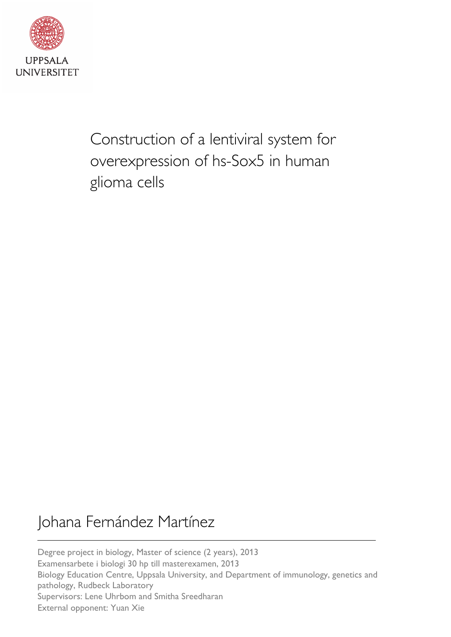

Construction of a lentiviral system for overexpression of hs-Sox5 in human glioma cells

# Johana Fernández Martínez

Degree project in biology, Master of science (2 years), 2013 Examensarbete i biologi 30 hp till masterexamen, 2013 Biology Education Centre, Uppsala University, and Department of immunology, genetics and pathology, Rudbeck Laboratory Supervisors: Lene Uhrbom and Smitha Sreedharan External opponent: Yuan Xie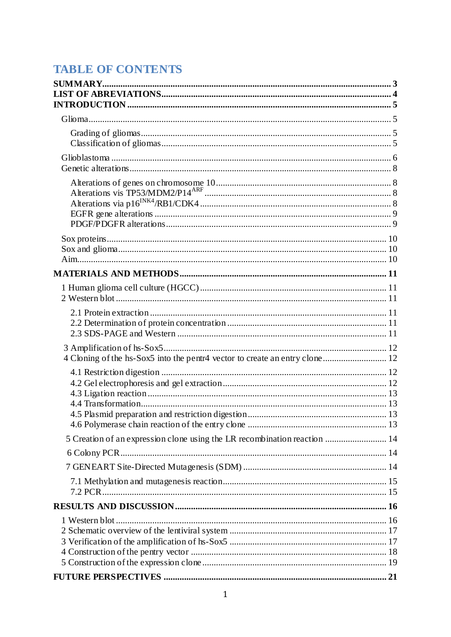## **TABLE OF CONTENTS**

| 5 Creation of an expression clone using the LR recombination reaction  14 |  |
|---------------------------------------------------------------------------|--|
|                                                                           |  |
|                                                                           |  |
|                                                                           |  |
|                                                                           |  |
|                                                                           |  |
|                                                                           |  |
|                                                                           |  |
|                                                                           |  |
|                                                                           |  |
|                                                                           |  |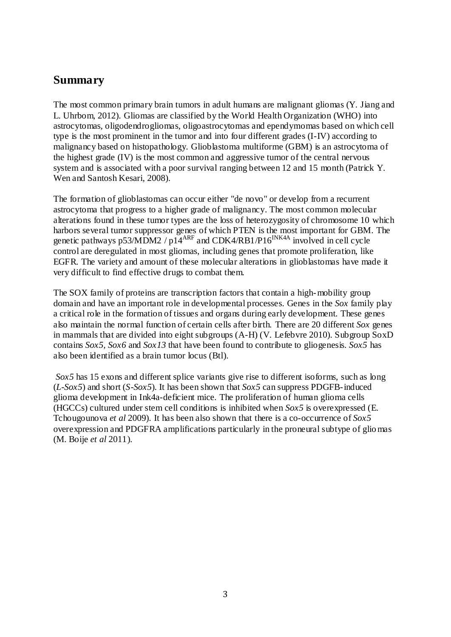## **Summary**

The most common primary brain tumors in adult humans are malignant gliomas (Y. Jiang and L. Uhrbom, 2012). Gliomas are classified by the World Health Organization (WHO) into astrocytomas, oligodendrogliomas, oligoastrocytomas and ependymomas based on which cell type is the most prominent in the tumor and into four different grades (I-IV) according to malignancy based on histopathology. Glioblastoma multiforme (GBM) is an astrocytoma of the highest grade (IV) is the most common and aggressive tumor of the central nervous system and is associated with a poor survival ranging between 12 and 15 month (Patrick Y. Wen and Santosh Kesari, 2008).

The formation of glioblastomas can occur either "de novo" or develop from a recurrent astrocytoma that progress to a higher grade of malignancy. The most common molecular alterations found in these tumor types are the loss of heterozygosity of chromosome 10 which harbors several tumor suppressor genes of which PTEN is the most important for GBM. The genetic pathways p53/MDM2 /  $p14^{ARF}$  and CDK4/RB1/P16<sup>INK4A</sup> involved in cell cycle control are deregulated in most gliomas, including genes that promote proliferation, like EGFR. The variety and amount of these molecular alterations in glioblastomas have made it very difficult to find effective drugs to combat them.

The SOX family of proteins are transcription factors that contain a high-mobility group domain and have an important role in developmental processes. Genes in the *Sox* family play a critical role in the formation of tissues and organs during early development. These genes also maintain the normal function of certain cells after birth. There are 20 different *Sox* genes in mammals that are divided into eight subgroups (A-H) (V. Lefebvre 2010). Subgroup SoxD contains *Sox5, Sox6* and *Sox13* that have been found to contribute to gliogenesis. *Sox5* has also been identified as a brain tumor locus (Btl).

*Sox5* has 15 exons and different splice variants give rise to different isoforms, such as long (*L-Sox5*) and short (*S-Sox5*). It has been shown that *Sox5* can suppress PDGFB-induced glioma development in Ink4a-deficient mice. The proliferation of human glioma cells (HGCCs) cultured under stem cell conditions is inhibited when *Sox5* is overexpressed (E. Tchougounova *et al* 2009). It has been also shown that there is a co-occurrence of *Sox5* overexpression and PDGFRA amplifications particularly in the proneural subtype of gliomas (M. Boije *et al* 2011).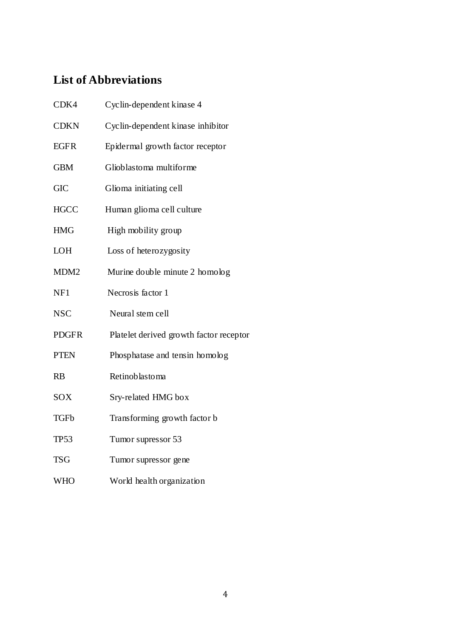## **List of Abbreviations**

| CDK4             | Cyclin-dependent kinase 4               |
|------------------|-----------------------------------------|
| <b>CDKN</b>      | Cyclin-dependent kinase inhibitor       |
| <b>EGFR</b>      | Epidermal growth factor receptor        |
| <b>GBM</b>       | Glioblastoma multiforme                 |
| <b>GIC</b>       | Glioma initiating cell                  |
| <b>HGCC</b>      | Human glioma cell culture               |
| <b>HMG</b>       | High mobility group                     |
| <b>LOH</b>       | Loss of heterozygosity                  |
| MDM <sub>2</sub> | Murine double minute 2 homolog          |
| NF1              | Necrosis factor 1                       |
| <b>NSC</b>       | Neural stem cell                        |
| <b>PDGFR</b>     | Platelet derived growth factor receptor |
| <b>PTEN</b>      | Phosphatase and tensin homolog          |
| <b>RB</b>        | Retinoblastoma                          |
| SOX              | Sry-related HMG box                     |
| <b>TGFb</b>      | Transforming growth factor b            |
| <b>TP53</b>      | Tumor supressor 53                      |
| <b>TSG</b>       | Tumor supressor gene                    |
| <b>WHO</b>       | World health organization               |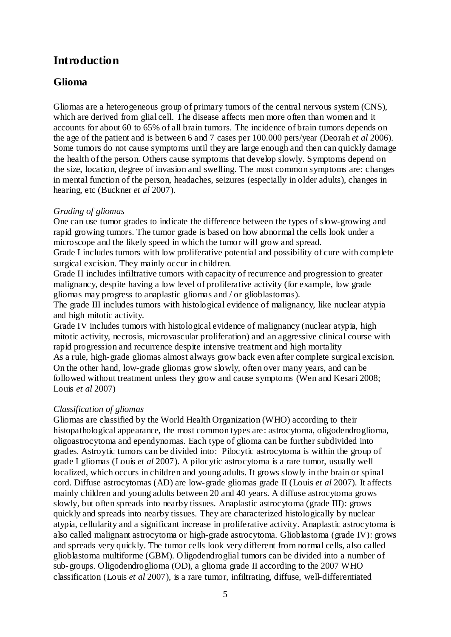## **Introduction**

### **Glioma**

Gliomas are a heterogeneous group of primary tumors of the central nervous system (CNS), which are derived from glial cell. The disease affects men more often than women and it accounts for about 60 to 65% of all brain tumors. The incidence of brain tumors depends on the age of the patient and is between 6 and 7 cases per 100.000 pers/year (Deorah *et al* 2006). Some tumors do not cause symptoms until they are large enough and then can quickly damage the health of the person. Others cause symptoms that develop slowly. Symptoms depend on the size, location, degree of invasion and swelling. The most common symptoms are: changes in mental function of the person, headaches, seizures (especially in older adults), changes in hearing, etc (Buckner *et al* 2007).

#### *Grading of gliomas*

One can use tumor grades to indicate the difference between the types of slow-growing and rapid growing tumors. The tumor grade is based on how abnormal the cells look under a microscope and the likely speed in which the tumor will grow and spread.

Grade I includes tumors with low proliferative potential and possibility of cure with complete surgical excision. They mainly occur in children.

Grade II includes infiltrative tumors with capacity of recurrence and progression to greater malignancy, despite having a low level of proliferative activity (for example, low grade gliomas may progress to anaplastic gliomas and / or glioblastomas).

The grade III includes tumors with histological evidence of malignancy, like nuclear atypia and high mitotic activity.

Grade IV includes tumors with histological evidence of malignancy (nuclear atypia, high mitotic activity, necrosis, microvascular proliferation) and an aggressive clinical course with rapid progression and recurrence despite intensive treatment and high mortality As a rule, high-grade gliomas almost always grow back even after complete surgical excision. On the other hand, low-grade gliomas grow slowly, often over many years, and can be followed without treatment unless they grow and cause symptoms (Wen and Kesari 2008; Louis *et al* 2007)

#### *Classification of gliomas*

Gliomas are classified by the World Health Organization (WHO) according to their histopathological appearance, the most common types are: astrocytoma, oligodendroglioma, oligoastrocytoma and ependynomas. Each type of glioma can be further subdivided into grades. Astroytic tumors can be divided into: Pilocytic astrocytoma is within the group of grade I gliomas (Louis *et al* 2007). A pilocytic astrocytoma is a rare tumor, usually well localized, which occurs in children and young adults. It grows slowly in the brain or spinal cord. Diffuse astrocytomas (AD) are low-grade gliomas grade II (Louis *et al* 2007). It affects mainly children and young adults between 20 and 40 years. A diffuse astrocytoma grows slowly, but often spreads into nearby tissues. Anaplastic astrocytoma (grade III): grows quickly and spreads into nearby tissues. They are characterized histologically by nuclear atypia, cellularity and a significant increase in proliferative activity. Anaplastic astrocytoma is also called malignant astrocytoma or high-grade astrocytoma. Glioblastoma (grade IV): grows and spreads very quickly. The tumor cells look very different from normal cells, also called glioblastoma multiforme (GBM). Oligodendroglial tumors can be divided into a number of sub-groups. Oligodendroglioma (OD), a glioma grade II according to the 2007 WHO classification (Louis *et al* 2007), is a rare tumor, infiltrating, diffuse, well-differentiated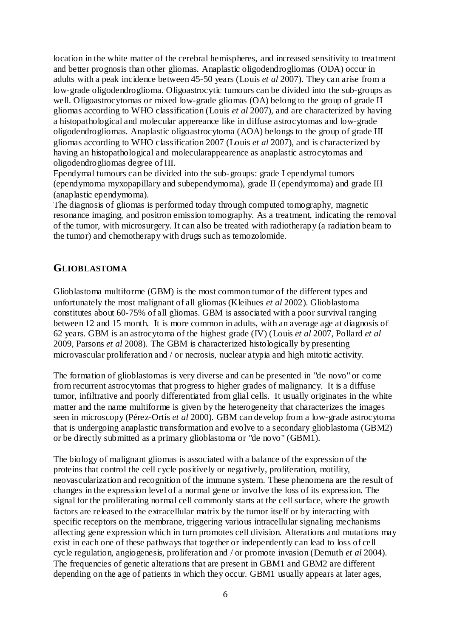location in the white matter of the cerebral hemispheres, and increased sensitivity to treatment and better prognosis than other gliomas. Anaplastic oligodendrogliomas (ODA) occur in adults with a peak incidence between 45-50 years (Louis *et al* 2007). They can arise from a low-grade oligodendroglioma. Oligoastrocytic tumours can be divided into the sub-groups as well. Oligoastrocytomas or mixed low-grade gliomas (OA) belong to the group of grade II gliomas according to WHO classification (Louis *et al* 2007), and are characterized by having a histopathological and molecular appereance like in diffuse astrocytomas and low-grade oligodendrogliomas. Anaplastic oligoastrocytoma (AOA) belongs to the group of grade III gliomas according to WHO classification 2007 (Louis *et al* 2007), and is characterized by having an histopathological and molecularappearence as anaplastic astrocytomas and oligodendrogliomas degree of III.

Ependymal tumours can be divided into the sub-groups: grade I ependymal tumors (ependymoma myxopapillary and subependymoma), grade II (ependymoma) and grade III (anaplastic ependymoma).

The diagnosis of gliomas is performed today through computed tomography, magnetic resonance imaging, and positron emission tomography. As a treatment, indicating the removal of the tumor, with microsurgery. It can also be treated with radiotherapy (a radiation beam to the tumor) and chemotherapy with drugs such as temozolomide.

#### **GLIOBLASTOMA**

Glioblastoma multiforme (GBM) is the most common tumor of the different types and unfortunately the most malignant of all gliomas (Kleihues *et al* 2002). Glioblastoma constitutes about 60-75% of all gliomas. GBM is associated with a poor survival ranging between 12 and 15 month. It is more common in adults, with an average age at diagnosis of 62 years. GBM is an astrocytoma of the highest grade (IV) (Louis *et al* 2007, Pollard *et al* 2009, Parsons *et al* 2008). The GBM is characterized histologically by presenting microvascular proliferation and / or necrosis, nuclear atypia and high mitotic activity.

The formation of glioblastomas is very diverse and can be presented in "de novo" or come from recurrent astrocytomas that progress to higher grades of malignancy. It is a diffuse tumor, infiltrative and poorly differentiated from glial cells. It usually originates in the white matter and the name multiforme is given by the heterogeneity that characterizes the images seen in microscopy (Pérez-Ortís *et al* 2000). GBM can develop from a low-grade astrocytoma that is undergoing anaplastic transformation and evolve to a secondary glioblastoma (GBM2) or be directly submitted as a primary glioblastoma or "de novo" (GBM1).

The biology of malignant gliomas is associated with a balance of the expression of the proteins that control the cell cycle positively or negatively, proliferation, motility, neovascularization and recognition of the immune system. These phenomena are the result of changes in the expression level of a normal gene or involve the loss of its expression. The signal for the proliferating normal cell commonly starts at the cell surface, where the growth factors are released to the extracellular matrix by the tumor itself or by interacting with specific receptors on the membrane, triggering various intracellular signaling mechanisms affecting gene expression which in turn promotes cell division. Alterations and mutations may exist in each one of these pathways that together or independently can lead to loss of cell cycle regulation, angiogenesis, proliferation and / or promote invasion (Demuth *et al* 2004). The frequencies of genetic alterations that are present in GBM1 and GBM2 are different depending on the age of patients in which they occur. GBM1 usually appears at later ages,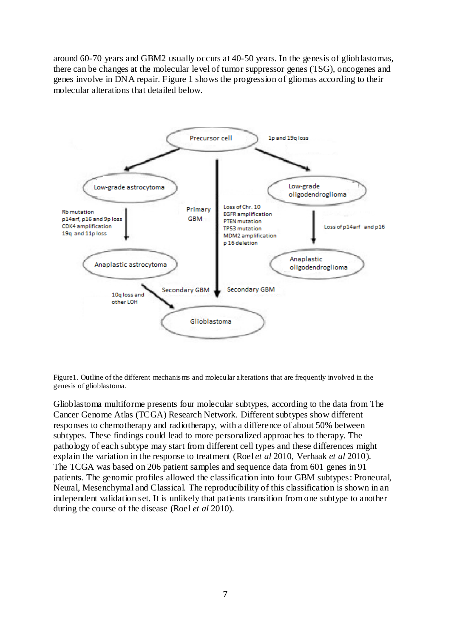around 60-70 years and GBM2 usually occurs at 40-50 years. In the genesis of glioblastomas, there can be changes at the molecular level of tumor suppressor genes (TSG), oncogenes and genes involve in DNA repair. Figure 1 shows the progression of gliomas according to their molecular alterations that detailed below.



Figure1. Outline of the different mechanis ms and molecular alterations that are frequently involved in the genesis of glioblastoma.

Glioblastoma multiforme presents four molecular subtypes, according to the data from The Cancer Genome Atlas (TCGA) Research Network. Different subtypes show different responses to chemotherapy and radiotherapy, with a difference of about 50% between subtypes. These findings could lead to more personalized approaches to therapy. The pathology of each subtype may start from different cell types and these differences might explain the variation in the response to treatment (Roel *et al* 2010, Verhaak *et al* 2010). The TCGA was based on 206 patient samples and sequence data from 601 genes in 91 patients. The genomic profiles allowed the classification into four GBM subtypes: Proneural, Neural, Mesenchymal and Classical. The reproducibility of this classification is shown in an independent validation set. It is unlikely that patients transition from one subtype to another during the course of the disease (Roel *et al* 2010).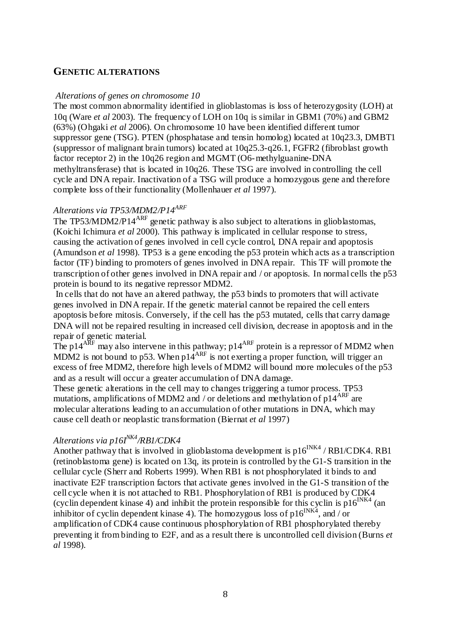#### **GENETIC ALTERATIONS**

#### *Alterations of genes on chromosome 10*

The most common abnormality identified in glioblastomas is loss of heterozygosity (LOH) at 10q (Ware *et al* 2003). The frequency of LOH on 10q is similar in GBM1 (70%) and GBM2 (63%) (Ohgaki *et al* 2006). On chromosome 10 have been identified different tumor suppressor gene (TSG). PTEN (phosphatase and tensin homolog) located at 10q23.3, DMBT1 (suppressor of malignant brain tumors) located at 10q25.3-q26.1, FGFR2 (fibroblast growth factor receptor 2) in the 10q26 region and MGMT (O6-methylguanine-DNA methyltransferase) that is located in 10q26. These TSG are involved in controlling the cell cycle and DNA repair. Inactivation of a TSG will produce a homozygous gene and therefore complete loss of their functionality (Mollenhauer *et al* 1997).

## *Alterations via TP53/MDM2/P14ARF*

The TP53/MDM2/P14<sup>ARF</sup> genetic pathway is also subject to alterations in glioblastomas, (Koichi Ichimura *et al* 2000). This pathway is implicated in cellular response to stress, causing the activation of genes involved in cell cycle control, DNA repair and apoptosis (Amundson *et al* 1998). TP53 is a gene encoding the p53 protein which acts as a transcription factor (TF) binding to promoters of genes involved in DNA repair. This TF will promote the transcription of other genes involved in DNA repair and / or apoptosis. In normal cells the p53 protein is bound to its negative repressor MDM2.

In cells that do not have an altered pathway, the p53 binds to promoters that will activate genes involved in DNA repair. If the genetic material cannot be repaired the cell enters apoptosis before mitosis. Conversely, if the cell has the p53 mutated, cells that carry damage DNA will not be repaired resulting in increased cell division, decrease in apoptosis and in the repair of genetic material.

The p14<sup>ARF</sup> may also intervene in this pathway; p14<sup>ARF</sup> protein is a repressor of MDM2 when MDM2 is not bound to p53. When  $p14^{ARF}$  is not exerting a proper function, will trigger an excess of free MDM2, therefore high levels of MDM2 will bound more molecules of the p53 and as a result will occur a greater accumulation of DNA damage.

These genetic alterations in the cell may to changes triggering a tumor process. TP53 mutations, amplifications of MDM2 and / or deletions and methylation of p14<sup>ARF</sup> are molecular alterations leading to an accumulation of other mutations in DNA, which may cause cell death or neoplastic transformation (Biernat *et al* 1997)

#### *Alterations via p16I NK4/RB1/CDK4*

Another pathway that is involved in glioblastoma development is  $p16^{INK4} / RB1/CDK4$ . RB1 (retinoblastoma gene) is located on 13q, its protein is controlled by the G1-S transition in the cellular cycle (Sherr and Roberts 1999). When RB1 is not phosphorylated it binds to and inactivate E2F transcription factors that activate genes involved in the G1-S transition of the cell cycle when it is not attached to RB1. Phosphorylation of RB1 is produced by CDK4 (cyclin dependent kinase 4) and inhibit the protein responsible for this cyclin is  $p16^{INK4}$  (an inhibitor of cyclin dependent kinase 4). The homozygous loss of  $p16^{NKA}$ , and / or amplification of CDK4 cause continuous phosphorylation of RB1 phosphorylated thereby preventing it from binding to E2F, and as a result there is uncontrolled cell division (Burns *et al* 1998).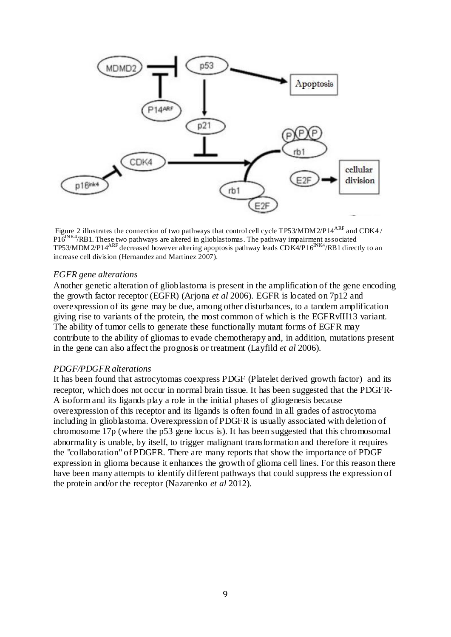

Figure 2 illustrates the connection of two pathways that control cell cycle TP53/MDM2/P14<sup>ARF</sup> and CDK4 / P16<sup>INK4</sup>/RB1. These two pathways are altered in glioblastomas. The pathway impairment associated TP53/MDM2/P14<sup>ARF</sup> decreased however altering apoptosis pathway leads CD K4/P16<sup>INK4</sup>/RB1 directly to an increase cell division (Hernandez and Martinez 2007).

#### *EGFR gene alterations*

Another genetic alteration of glioblastoma is present in the amplification of the gene encoding the growth factor receptor (EGFR) (Arjona *et al* 2006). EGFR is located on 7p12 and overexpression of its gene may be due, among other disturbances, to a tandem amplification giving rise to variants of the protein, the most common of which is the EGFRvIII13 variant. The ability of tumor cells to generate these functionally mutant forms of EGFR may contribute to the ability of gliomas to evade chemotherapy and, in addition, mutations present in the gene can also affect the prognosis or treatment (Layfild *et al* 2006).

#### *PDGF/PDGFR alterations*

It has been found that astrocytomas coexpress PDGF (Platelet derived growth factor) and its receptor, which does not occur in normal brain tissue. It has been suggested that the PDGFR-A isoform and its ligands play a role in the initial phases of gliogenesis because overexpression of this receptor and its ligands is often found in all grades of astrocytoma including in glioblastoma. Overexpression of PDGFR is usually associated with deletion of chromosome 17p (where the p53 gene locus is). It has been suggested that this chromosomal abnormality is unable, by itself, to trigger malignant transformation and therefore it requires the "collaboration" of PDGFR. There are many reports that show the importance of PDGF expression in glioma because it enhances the growth of glioma cell lines. For this reason there have been many attempts to identify different pathways that could suppress the expression of the protein and/or the receptor (Nazarenko *et al* 2012).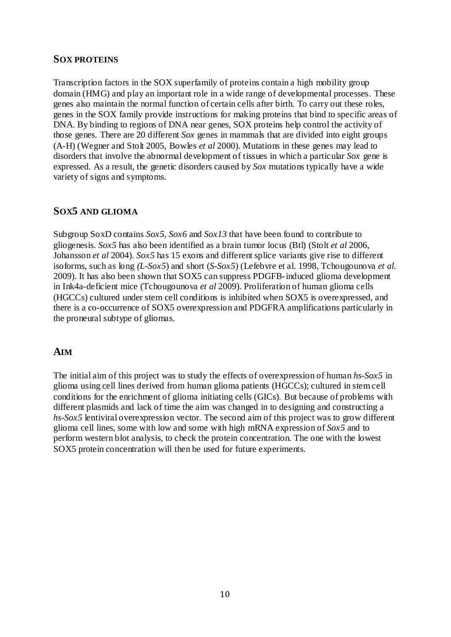#### **SOX PROTEINS**

Transcription factors in the SOX superfamily of proteins contain a high mobility group domain (HMG) and play an important role in a wide range of developmental processes. These genes also maintain the normal function of certain cells after birth. To carry out these roles, genes in the SOX family provide instructions for making proteins that bind to specific areas of DNA. By binding to regions of DNA near genes, SOX proteins help control the activity of those genes. There are 20 different *Sox* genes in mammals that are divided into eight groups (A-H) (Wegner and Stolt 2005, Bowles *et al* 2000). Mutations in these genes may lead to disorders that involve the abnormal development of tissues in which a particular *Sox* gene is expressed. As a result, the genetic disorders caused by *Sox* mutations typically have a wide variety of signs and symptoms.

### **SOX5 AND GLIOMA**

Subgroup SoxD contains *Sox5, Sox6* and *Sox13* that have been found to contribute to gliogenesis. *Sox5* has also been identified as a brain tumor locus (Btl) (Stolt *et al* 2006, Johansson *et al* 2004). *Sox5* has 15 exons and different splice variants give rise to different isoforms, such as long *(L-Sox5*) and short (*S-Sox5*) (Lefebvre et al. 1998, Tchougounova *et al*. 2009). It has also been shown that SOX5 can suppress PDGFB-induced glioma development in Ink4a-deficient mice (Tchougounova *et al* 2009). Proliferation of human glioma cells (HGCCs) cultured under stem cell conditions is inhibited when SOX5 is overexpressed, and there is a co-occurrence of SOX5 overexpression and PDGFRA amplifications particularly in the proneural subtype of gliomas.

### **AIM**

The initial aim of this project was to study the effects of overexpression of human *hs-Sox5* in glioma using cell lines derived from human glioma patients (HGCCs); cultured in stem cell conditions for the enrichment of glioma initiating cells (GICs). But because of problems with different plasmids and lack of time the aim was changed in to designing and constructing a hs-Sox5 lentiviral overexpression vector. The second aim of this project was to grow different glioma cell lines, some with low and some with high mRNA expression of *Sox5* and to perform western blot analysis, to check the protein concentration. The one with the lowest SOX5 protein concentration will then be used for future experiments.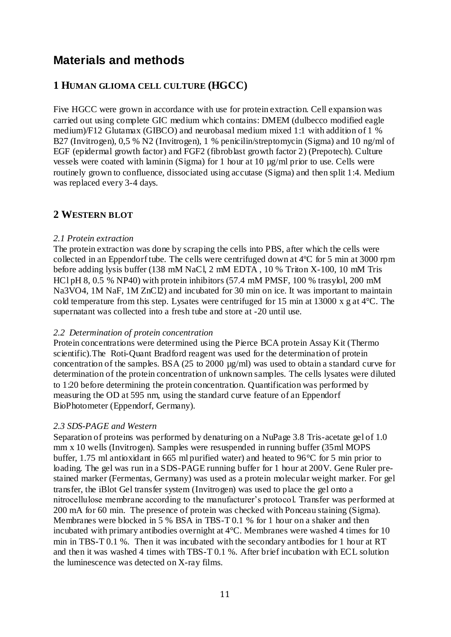## **Materials and methods**

## **1 HUMAN GLIOMA CELL CULTURE (HGCC)**

Five HGCC were grown in accordance with use for protein extraction. Cell expansion was carried out using complete GIC medium which contains: DMEM (dulbecco modified eagle medium)/F12 Glutamax (GIBCO) and neurobasal medium mixed 1:1 with addition of 1 % B27 (Invitrogen), 0,5 % N2 (Invitrogen), 1 % penicilin/streptomycin (Sigma) and 10 ng/ml of EGF (epidermal growth factor) and FGF2 (fibroblast growth factor 2) (Prepotech). Culture vessels were coated with laminin (Sigma) for 1 hour at 10 µg/ml prior to use. Cells were routinely grown to confluence, dissociated using accutase (Sigma) and then split 1:4. Medium was replaced every 3-4 days.

### **2 WESTERN BLOT**

#### *2.1 Protein extraction*

The protein extraction was done by scraping the cells into PBS, after which the cells were collected in an Eppendorf tube. The cells were centrifuged down at 4ºC for 5 min at 3000 rpm before adding lysis buffer (138 mM NaCl, 2 mM EDTA , 10 % Triton X-100, 10 mM Tris HCl pH 8, 0.5 % NP40) with protein inhibitors (57.4 mM PMSF, 100 % trasylol, 200 mM Na3VO4, 1M NaF, 1M ZnCl2) and incubated for 30 min on ice. It was important to maintain cold temperature from this step. Lysates were centrifuged for 15 min at 13000 x g at  $4^{\circ}$ C. The supernatant was collected into a fresh tube and store at -20 until use.

#### *2.2 Determination of protein concentration*

Protein concentrations were determined using the Pierce BCA protein Assay Kit (Thermo scientific).The Roti-Quant Bradford reagent was used for the determination of protein concentration of the samples. BSA (25 to 2000 µg/ml) was used to obtain a standard curve for determination of the protein concentration of unknown samples. The cells lysates were diluted to 1:20 before determining the protein concentration. Quantification was performed by measuring the OD at 595 nm, using the standard curve feature of an Eppendorf BioPhotometer (Eppendorf, Germany).

#### *2.3 SDS-PAGE and Western*

Separation of proteins was performed by denaturing on a NuPage 3.8 Tris-acetate gel of 1.0 mm x 10 wells (Invitrogen). Samples were resuspended in running buffer (35ml MOPS buffer, 1.75 ml antioxidant in 665 ml purified water) and heated to 96°C for 5 min prior to loading. The gel was run in a SDS-PAGE running buffer for 1 hour at 200V. Gene Ruler prestained marker (Fermentas, Germany) was used as a protein molecular weight marker. For gel transfer, the iBlot Gel transfer system (Invitrogen) was used to place the gel onto a nitrocellulose membrane according to the manufacturer's protocol. Transfer was performed at 200 mA for 60 min. The presence of protein was checked with Ponceau staining (Sigma). Membranes were blocked in 5 % BSA in TBS-T 0.1 % for 1 hour on a shaker and then incubated with primary antibodies overnight at 4°C. Membranes were washed 4 times for 10 min in TBS-T 0.1 %. Then it was incubated with the secondary antibodies for 1 hour at RT and then it was washed 4 times with TBS-T 0.1 %. After brief incubation with ECL solution the luminescence was detected on X-ray films.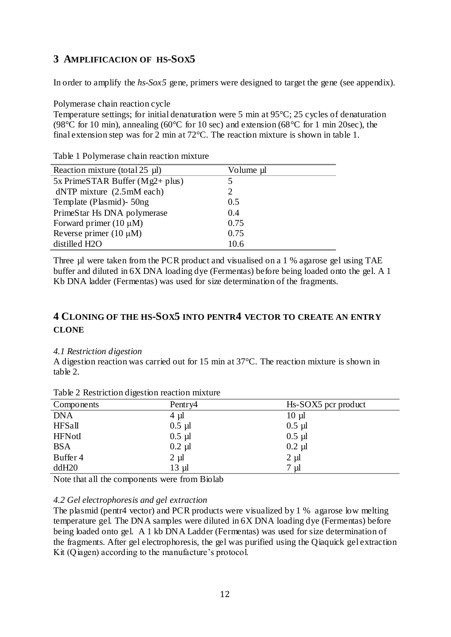## **3 AMPLIFICACION OF HS-SOX5**

In order to amplify the *hs-Sox5* gene, primers were designed to target the gene (see appendix).

Polymerase chain reaction cycle

Temperature settings; for initial denaturation were 5 min at 95°C; 25 cycles of denaturation (98 $\degree$ C for 10 min), annealing (60 $\degree$ C for 10 sec) and extension (68 $\degree$ C for 1 min 20sec), the final extension step was for 2 min at 72°C. The reaction mixture is shown in table 1.

| Volume µl |
|-----------|
|           |
|           |
| 0.5       |
| 0.4       |
| 0.75      |
| 0.75      |
| 10.6      |
|           |

Table 1 Polymerase chain reaction mixture

Three µl were taken from the PCR product and visualised on a 1 % agarose gel using TAE buffer and diluted in 6X DNA loading dye (Fermentas) before being loaded onto the gel. A 1 Kb DNA ladder (Fermentas) was used for size determination of the fragments.

## **4 CLONING OF THE HS-SOX5 INTO PENTR4 VECTOR TO CREATE AN ENTRY CLONE**

#### *4.1 Restriction digestion*

A digestion reaction was carried out for 15 min at 37°C. The reaction mixture is shown in table 2.

| Components    | Pentry4   | Hs-SOX5 pcr product |
|---------------|-----------|---------------------|
| <b>DNA</b>    | $4 \mu l$ | $10 \mu$            |
| HFSall        | $0.5 \mu$ | $0.5$ µl            |
| <b>HFNotI</b> | $0.5$ µl  | $0.5$ µl            |
| <b>BSA</b>    | $0.2 \mu$ | $0.2$ µl            |
| Buffer 4      | $2 \mu$   | $2 \mu l$           |
| ddH20         | $13 \mu$  | 7 µl                |
|               |           |                     |

Table 2 Restriction digestion reaction mixture

Note that all the components were from Biolab

#### *4.2 Gel electrophoresis and gel extraction*

The plasmid (pentr4 vector) and PCR products were visualized by 1 % agarose low melting temperature gel. The DNA samples were diluted in 6X DNA loading dye (Fermentas) before being loaded onto gel. A 1 kb DNA Ladder (Fermentas) was used for size determination of the fragments. After gel electrophoresis, the gel was purified using the Qiaquick gel extraction Kit (Qiagen) according to the manufacture's protocol.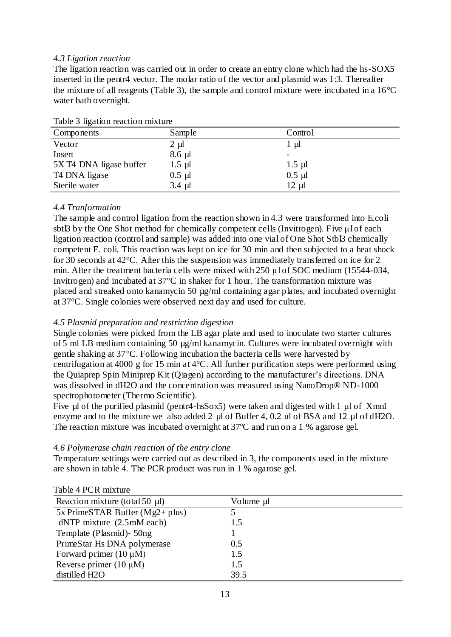#### *4.3 Ligation reaction*

The ligation reaction was carried out in order to create an entry clone which had the hs-SOX5 inserted in the pentr4 vector. The molar ratio of the vector and plasmid was 1:3. Thereafter the mixture of all reagents (Table 3), the sample and control mixture were incubated in a 16°C water bath overnight.

| Components              | Sample    | Control                  |
|-------------------------|-----------|--------------------------|
| Vector                  | $2 \mu l$ | -ul                      |
| Insert                  | $8.6 \mu$ | $\overline{\phantom{m}}$ |
| 5X T4 DNA ligase buffer | $1.5 \mu$ | $1.5 \mu$                |
| T4 DNA ligase           | $0.5 \mu$ | $0.5$ µl                 |
| Sterile water           | $3.4 \mu$ | $12 \mu$                 |

|  | Table 3 ligation reaction mixture |  |  |
|--|-----------------------------------|--|--|
|--|-----------------------------------|--|--|

#### *4.4 Tranformation*

The sample and control ligation from the reaction shown in 4.3 were transformed into E.coli sbtl3 by the One Shot method for chemically competent cells (Invitrogen). Five μl of each ligation reaction (control and sample) was added into one vial of One Shot Stbl3 chemically competent E. coli. This reaction was kept on ice for 30 min and then subjected to a heat shock for 30 seconds at 42°C. After this the suspension was immediately transferred on ice for 2 min. After the treatment bacteria cells were mixed with 250 μl of SOC medium (15544-034, Invitrogen) and incubated at 37°C in shaker for 1 hour. The transformation mixture was placed and streaked onto kanamycin 50 µg/ml containing agar plates, and incubated overnight at 37°C. Single colonies were observed next day and used for culture.

#### *4.5 Plasmid preparation and restriction digestion*

Single colonies were picked from the LB agar plate and used to inoculate two starter cultures of 5 ml LB medium containing 50 µg/ml kanamycin. Cultures were incubated overnight with gentle shaking at 37°C. Following incubation the bacteria cells were harvested by centrifugation at 4000 g for 15 min at 4°C. All further purification steps were performed using the Quiaprep Spin Miniprep Kit (Qiagen) according to the manufacturer's directions. DNA was dissolved in dH2O and the concentration was measured using NanoDrop® ND-1000 spectrophotometer (Thermo Scientific).

Five µl of the purified plasmid (pentr4-hsSox5) were taken and digested with 1 µl of XmnI enzyme and to the mixture we also added 2 µl of Buffer 4, 0.2 ul of BSA and 12 µl of dH2O. The reaction mixture was incubated overnight at 37ºC and run on a 1 % agarose gel.

#### *4.6 Polymerase chain reaction of the entry clone*

Temperature settings were carried out as described in 3, the components used in the mixture are shown in table 4. The PCR product was run in 1 % agarose gel.

| $100 \times 71$ CIN HILATURE                          |           |
|-------------------------------------------------------|-----------|
| Reaction mixture (total 50 µl)                        | Volume µl |
| $5x$ PrimeSTAR Buffer (Mg2+ plus)                     |           |
| $dNTP$ mixture $(2.5 \text{m} \text{M} \text{ each})$ | 1.5       |
| Template (Plasmid) - 50ng                             |           |
| PrimeStar Hs DNA polymerase                           | 0.5       |
| Forward primer $(10 \mu M)$                           | 1.5       |
| Reverse primer $(10 \mu M)$                           | 1.5       |
| distilled H2O                                         | 39.5      |
|                                                       |           |

#### Table 4 PCR mixture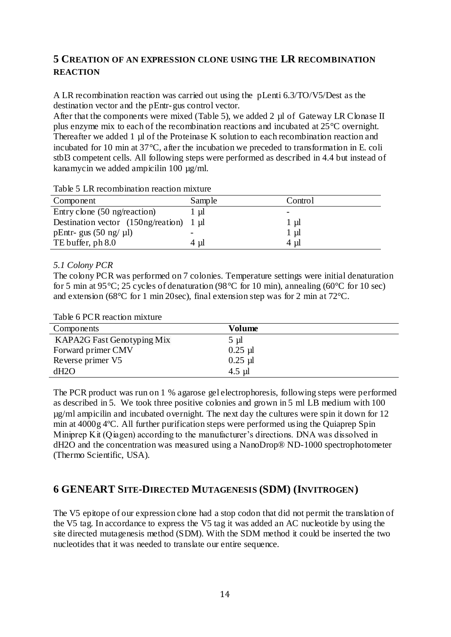## **5 CREATION OF AN EXPRESSION CLONE USING THE LR RECOMBINATION REACTION**

A LR recombination reaction was carried out using the pLenti 6.3/TO/V5/Dest as the destination vector and the pEntr-gus control vector.

After that the components were mixed (Table 5), we added 2 µl of Gateway LR Clonase II plus enzyme mix to each of the recombination reactions and incubated at 25°C overnight. Thereafter we added 1 µl of the Proteinase K solution to each recombination reaction and incubated for 10 min at 37°C, after the incubation we preceded to transformation in E. coli stbl3 competent cells. All following steps were performed as described in 4.4 but instead of kanamycin we added ampicilin 100 µg/ml.

| Tuble 5 Erviceonibiliation reaction imature |        |                          |  |
|---------------------------------------------|--------|--------------------------|--|
| Component                                   | Sample | Control                  |  |
| Entry clone (50 ng/reaction)                | l ul   | $\overline{\phantom{0}}$ |  |
| Destination vector $(150)$ ng/reation) 1 µl |        | $1 \mu l$                |  |
| pEntr- gus $(50 \text{ ng}/ \text{ \mu l})$ |        | $1 \mu l$                |  |
| TE buffer, ph 8.0                           | 4 ul   | 4 ul                     |  |

Table 5 LR recombination reaction mixture

#### *5.1 Colony PCR*

The colony PCR was performed on 7 colonies. Temperature settings were initial denaturation for 5 min at 95 °C; 25 cycles of denaturation (98 °C for 10 min), annealing (60 °C for 10 sec) and extension (68°C for 1 min 20sec), final extension step was for 2 min at 72°C.

|  | Table 6 PCR reaction mixture |  |
|--|------------------------------|--|
|  |                              |  |

| Components                 | Volume    |
|----------------------------|-----------|
| KAPA2G Fast Genotyping Mix | $5 \mu l$ |
| Forward primer CMV         | $0.25$ µl |
| Reverse primer V5          | $0.25$ µl |
| dH2O                       | $4.5$ µl  |

The PCR product was run on 1 % agarose gel electrophoresis, following steps were performed as described in 5. We took three positive colonies and grown in 5 ml LB medium with 100 µg/ml ampicilin and incubated overnight. The next day the cultures were spin it down for 12 min at 4000g 4ºC. All further purification steps were performed using the Quiaprep Spin Miniprep Kit (Qiagen) according to the manufacturer's directions. DNA was dissolved in dH2O and the concentration was measured using a NanoDrop® ND-1000 spectrophotometer (Thermo Scientific, USA).

## **6 GENEART SITE-DIRECTED MUTAGENESIS (SDM) (INVITROGEN)**

The V5 epitope of our expression clone had a stop codon that did not permit the translation of the V5 tag. In accordance to express the V5 tag it was added an AC nucleotide by using the site directed mutagenesis method (SDM). With the SDM method it could be inserted the two nucleotides that it was needed to translate our entire sequence.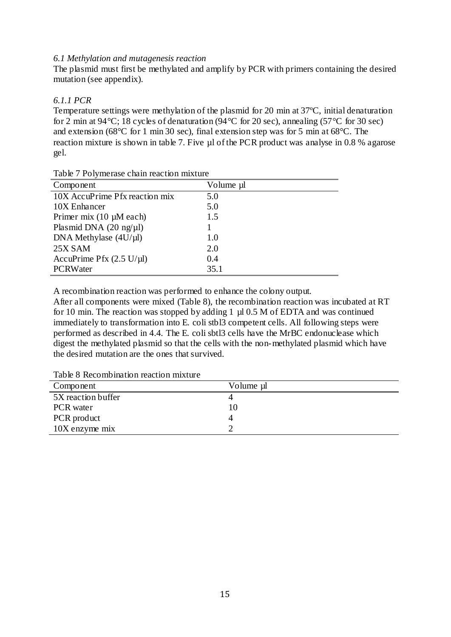#### *6.1 Methylation and mutagenesis reaction*

The plasmid must first be methylated and amplify by PCR with primers containing the desired mutation (see appendix).

#### *6.1.1 PCR*

Temperature settings were methylation of the plasmid for 20 min at 37ºC, initial denaturation for 2 min at 94 °C; 18 cycles of denaturation (94 °C for 20 sec), annealing (57 °C for 30 sec) and extension (68°C for 1 min 30 sec), final extension step was for 5 min at 68°C. The reaction mixture is shown in table 7. Five µl of the PCR product was analyse in 0.8 % agarose gel.

| Component                                   | Volume µl |
|---------------------------------------------|-----------|
| 10X AccuPrime Pfx reaction mix              | 5.0       |
| 10X Enhancer                                | 5.0       |
| Primer mix $(10 \mu M$ each)                | 1.5       |
| Plasmid DNA $(20 \text{ ng/µl})$            |           |
| DNA Methylase $(4U/µl)$                     | 1.0       |
| 25X SAM                                     | 2.0       |
| AccuPrime Pfx $(2.5 \text{ U/}\mu\text{I})$ | 0.4       |
| PCRWater                                    | 35.1      |

Table 7 Polymerase chain reaction mixture

A recombination reaction was performed to enhance the colony output.

After all components were mixed (Table 8), the recombination reaction was incubated at RT for 10 min. The reaction was stopped by adding 1  $\mu$  0.5 M of EDTA and was continued immediately to transformation into E. coli stbl3 competent cells. All following steps were performed as described in 4.4. The E. coli sbtl3 cells have the MrBC endonuclease which digest the methylated plasmid so that the cells with the non-methylated plasmid which have the desired mutation are the ones that survived.

Table 8 Recombination reaction mixture

| Component          | Volume µl |
|--------------------|-----------|
| 5X reaction buffer |           |
| <b>PCR</b> water   |           |
| PCR product        |           |
| 10X enzyme mix     |           |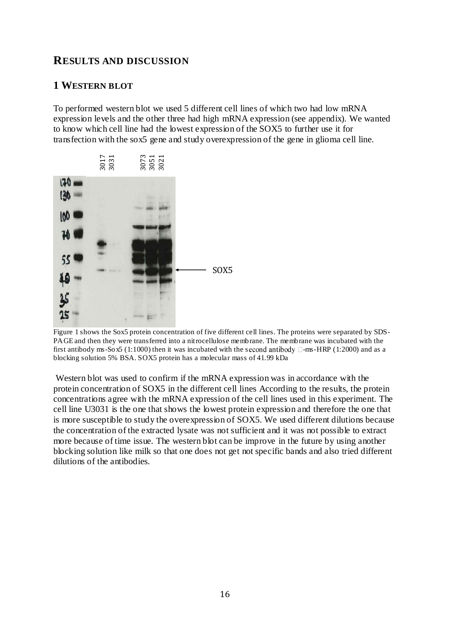## **RESULTS AND DISCUSSION**

### **1 WESTERN BLOT**

To performed western blot we used 5 different cell lines of which two had low mRNA expression levels and the other three had high mRNA expression (see appendix). We wanted to know which cell line had the lowest expression of the SOX5 to further use it for transfection with the sox5 gene and study overexpression of the gene in glioma cell line.



Figure 1 shows the Sox5 protein concentration of five different cell lines. The proteins were separated by SDS-PAGE and then they were transferred into a nitrocellulose membrane. The membrane was incubated with the first antibody ms-So  $\sigma$  (1:1000) then it was incubated with the second antibody  $\Box$ -ms-HRP (1:2000) and as a blocking solution 5% BSA. SOX5 protein has a molecular mass of 41.99 kDa

Western blot was used to confirm if the mRNA expression was in accordance with the protein concentration of SOX5 in the different cell lines According to the results, the protein concentrations agree with the mRNA expression of the cell lines used in this experiment. The cell line U3031 is the one that shows the lowest protein expression and therefore the one that is more susceptible to study the overexpression of SOX5. We used different dilutions because the concentration of the extracted lysate was not sufficient and it was not possible to extract more because of time issue. The western blot can be improve in the future by using another blocking solution like milk so that one does not get not specific bands and also tried different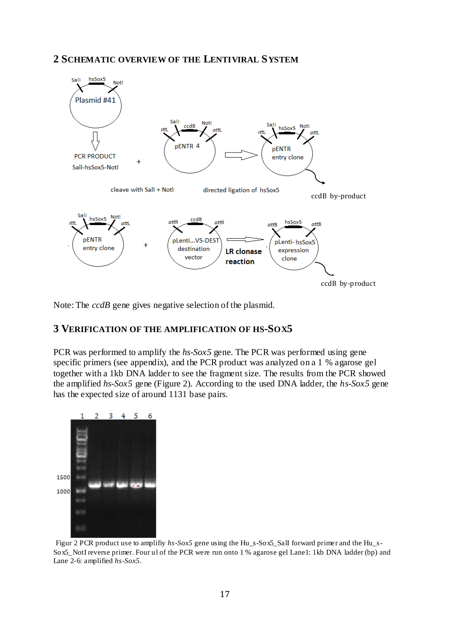### **2 SCHEMATIC OVERVIEW OF THE LENTIVIRAL SYSTEM**



Note: The *ccdB* gene gives negative selection of the plasmid.

#### **3 VERIFICATION OF THE AMPLIFICATION OF HS-SOX5**

PCR was performed to amplify the *hs-Sox5* gene. The PCR was performed using gene specific primers (see appendix), and the PCR product was analyzed on a 1 % agarose gel together with a 1kb DNA ladder to see the fragment size. The results from the PCR showed the amplified *hs-Sox5* gene (Figure 2). According to the used DNA ladder, the *hs-Sox5* gene has the expected size of around 1131 base pairs.



Figur 2 PCR product use to amplifiy hs-Sox5 gene using the Hu s-Sox5 Sall forward primer and the Hu s-Sox5\_NotI reverse primer. Four ul of the PCR were run onto 1 % agarose gel Lane1: 1kb DNA ladder (bp) and Lane 2-6: amplified *hs-Sox5*.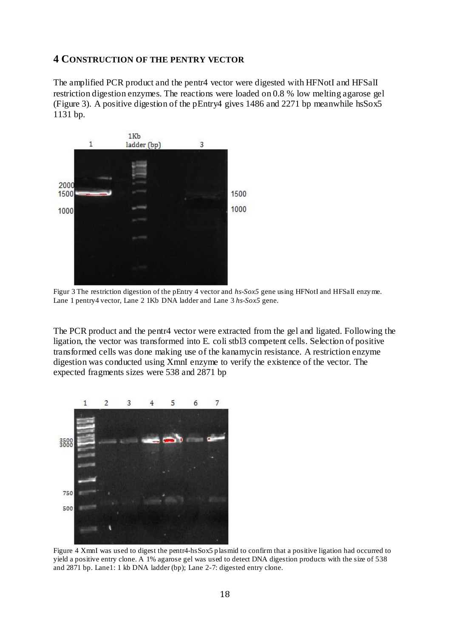#### **4 CONSTRUCTION OF THE PENTRY VECTOR**

The amplified PCR product and the pentr4 vector were digested with HFNotI and HFSalI restriction digestion enzymes. The reactions were loaded on 0.8 % low melting agarose gel (Figure 3). A positive digestion of the pEntry4 gives 1486 and 2271 bp meanwhile hsSox5 1131 bp.



Figur 3 The restriction digestion of the pEntry 4 vector and *hs-Sox5* gene using HFNotI and HFSalI enzyme. Lane 1 pentry4 vector, Lane 2 1Kb DNA ladder and Lane 3 *hs-Sox5* gene.

The PCR product and the pentr4 vector were extracted from the gel and ligated. Following the ligation, the vector was transformed into E. coli stbl3 competent cells. Selection of positive transformed cells was done making use of the kanamycin resistance. A restriction enzyme digestion was conducted using XmnI enzyme to verify the existence of the vector. The expected fragments sizes were 538 and 2871 bp



Figure 4 XmnI was used to digest the pentr4-hsSox5 plasmid to confirm that a positive ligation had occurred to yield a positive entry clone. A 1% agarose gel was used to detect DNA digestion products with the size of 538 and 2871 bp. Lane1: 1 kb DNA ladder (bp); Lane 2-7: digested entry clone.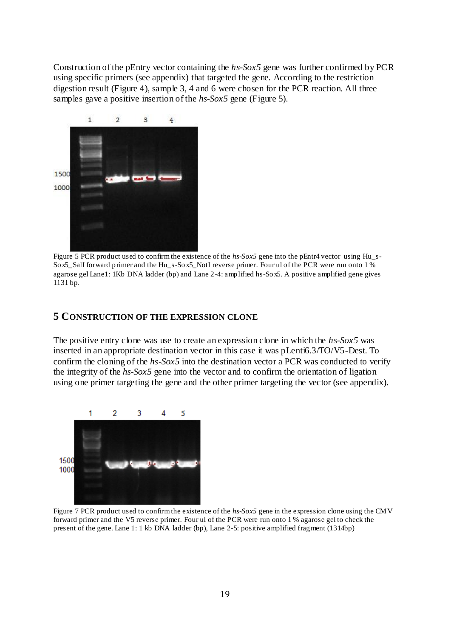Construction of the pEntry vector containing the *hs-Sox5* gene was further confirmed by PCR using specific primers (see appendix) that targeted the gene. According to the restriction digestion result (Figure 4), sample 3, 4 and 6 were chosen for the PCR reaction. All three samples gave a positive insertion of the *hs-Sox5* gene (Figure 5).



Figure 5 PCR product used to confirm the existence of the *hs-Sox5* gene into the pEntr4 vector using Hu\_s-Sox5\_SalI forward primer and the Hu\_s-Sox5\_NotI reverse primer. Four ul of the PCR were run onto 1 % agarose gel Lane1: 1Kb DNA ladder (bp) and Lane 2-4: amplified hs-Sox5. A positive amplified gene gives 1131 bp.

#### **5 CONSTRUCTION OF THE EXPRESSION CLONE**

The positive entry clone was use to create an expression clone in which the *hs-Sox5* was inserted in an appropriate destination vector in this case it was pLenti6.3/TO/V5-Dest. To confirm the cloning of the *hs-Sox5* into the destination vector a PCR was conducted to verify the integrity of the *hs-Sox5* gene into the vector and to confirm the orientation of ligation using one primer targeting the gene and the other primer targeting the vector (see appendix).



Figure 7 PCR product used to confirm the existence of the *hs-Sox5* gene in the expression clone using the CMV forward primer and the V5 reverse primer. Four ul of the PCR were run onto 1 % agarose gel to check the present of the gene. Lane 1: 1 kb DNA ladder (bp), Lane 2-5: positive amplified fragment (1314bp)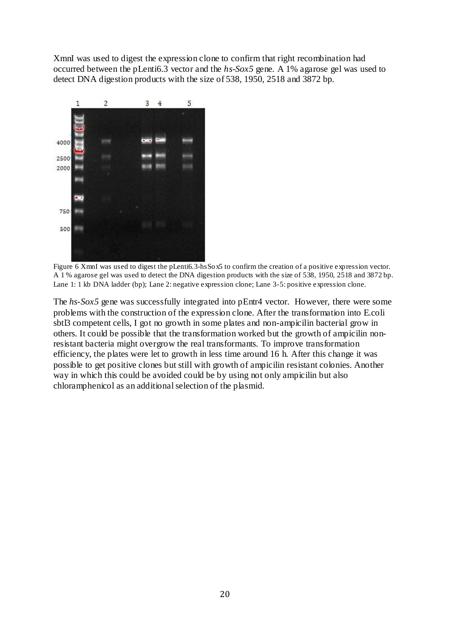XmnI was used to digest the expression clone to confirm that right recombination had occurred between the pLenti6.3 vector and the *hs-Sox5* gene. A 1% agarose gel was used to detect DNA digestion products with the size of 538, 1950, 2518 and 3872 bp.



Figure 6 XmnI was used to digest the pLenti6.3-hsSox5 to confirm the creation of a positive expression vector. A 1 % agarose gel was used to detect the DNA digestion products with the size of 538, 1950, 2518 and 3872 bp. Lane 1: 1 kb DNA ladder (bp); Lane 2: negative expression clone; Lane 3-5: positive expression clone.

The *hs*-*Sox5* gene was successfully integrated into pEntr4 vector. However, there were some problems with the construction of the expression clone. After the transformation into E.coli sbtl3 competent cells, I got no growth in some plates and non-ampicilin bacterial grow in others. It could be possible that the transformation worked but the growth of ampicilin nonresistant bacteria might overgrow the real transformants. To improve transformation efficiency, the plates were let to growth in less time around 16 h. After this change it was possible to get positive clones but still with growth of ampicilin resistant colonies. Another way in which this could be avoided could be by using not only ampicilin but also chloramphenicol as an additional selection of the plasmid.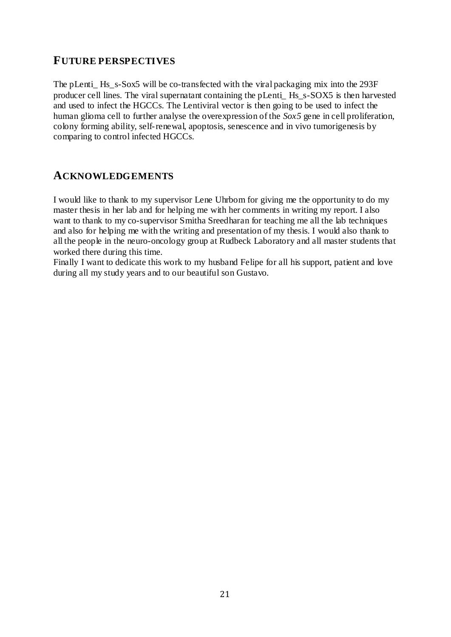## **FUTURE PERSPECTIVES**

The pLenti\_ Hs\_s-Sox5 will be co-transfected with the viral packaging mix into the 293F producer cell lines. The viral supernatant containing the pLenti\_ Hs\_s-SOX5 is then harvested and used to infect the HGCCs. The Lentiviral vector is then going to be used to infect the human glioma cell to further analyse the overexpression of the *Sox5* gene in cell proliferation, colony forming ability, self-renewal, apoptosis, senescence and in vivo tumorigenesis by comparing to control infected HGCCs.

## **ACKNOWLEDGEMENTS**

I would like to thank to my supervisor Lene Uhrbom for giving me the opportunity to do my master thesis in her lab and for helping me with her comments in writing my report. I also want to thank to my co-supervisor Smitha Sreedharan for teaching me all the lab techniques and also for helping me with the writing and presentation of my thesis. I would also thank to all the people in the neuro-oncology group at Rudbeck Laboratory and all master students that worked there during this time.

Finally I want to dedicate this work to my husband Felipe for all his support, patient and love during all my study years and to our beautiful son Gustavo.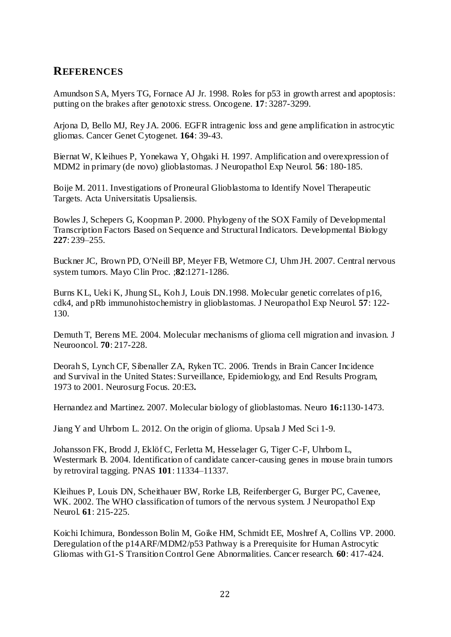## **REFERENCES**

Amundson SA, Myers TG, Fornace AJ Jr. 1998. Roles for p53 in growth arrest and apoptosis: putting on the brakes after genotoxic stress. Oncogene. **17**: 3287-3299.

Arjona D, Bello MJ, Rey JA. 2006. EGFR intragenic loss and gene amplification in astrocytic gliomas. Cancer Genet Cytogenet. **164**: 39-43.

Biernat W, Kleihues P, Yonekawa Y, Ohgaki H. 1997. Amplification and overexpression of MDM2 in primary (de novo) glioblastomas. J Neuropathol Exp Neurol. **56**: 180-185.

Boije M. 2011. Investigations of Proneural Glioblastoma to Identify Novel Therapeutic Targets. Acta Universitatis Upsaliensis.

Bowles J, Schepers G, Koopman P. 2000. Phylogeny of the SOX Family of Developmental Transcription Factors Based on Sequence and Structural Indicators. Developmental Biology **227**: 239–255.

Buckner JC, Brown PD, O'Neill BP, Meyer FB, Wetmore CJ, Uhm JH. 2007. Central nervous system tumors. Mayo Clin Proc. ;**82**:1271-1286.

Burns KL, Ueki K, Jhung SL, Koh J, Louis DN.1998. Molecular genetic correlates of p16, cdk4, and pRb immunohistochemistry in glioblastomas. J Neuropathol Exp Neurol. **57**: 122- 130.

Demuth T, Berens ME. 2004. Molecular mechanisms of glioma cell migration and invasion. J Neurooncol. **70**: 217-228.

Deorah S, Lynch CF, Sibenaller ZA, Ryken TC. 2006. Trends in Brain Cancer Incidence and Survival in the United States: Surveillance, Epidemiology, and End Results Program, 1973 to 2001. Neurosurg Focus. 20:E3**.**

Hernandez and Martinez. 2007. Molecular biology of glioblastomas. Neuro **16:**1130-1473.

Jiang Y and Uhrbom L. 2012. On the origin of glioma. Upsala J Med Sci 1-9.

Johansson FK, Brodd J, Eklöf C, Ferletta M, Hesselager G, Tiger C-F, Uhrbom L, Westermark B. 2004. Identification of candidate cancer-causing genes in mouse brain tumors by retroviral tagging. PNAS **101**: 11334–11337.

Kleihues P, Louis DN, Scheithauer BW, Rorke LB, Reifenberger G, Burger PC, Cavenee, WK. 2002. The WHO classification of tumors of the nervous system. J Neuropathol Exp Neurol. **61**: 215-225.

Koichi Ichimura, Bondesson Bolin M, Goike HM, Schmidt EE, Moshref A, Collins VP. 2000. Deregulation of the p14ARF/MDM2/p53 Pathway is a Prerequisite for Human Astrocytic Gliomas with G1-S Transition Control Gene Abnormalities. Cancer research. **60**: 417-424.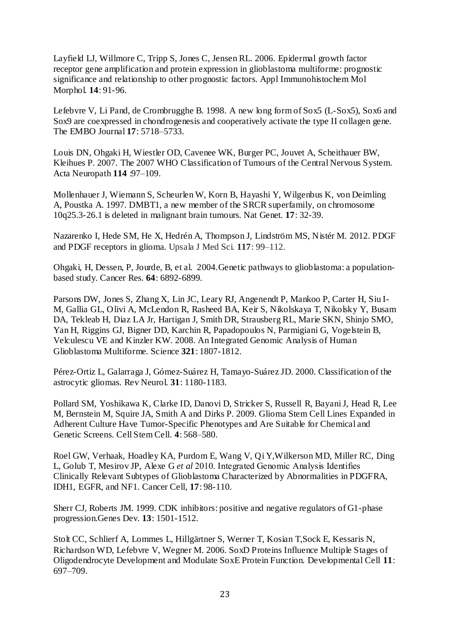Layfield LJ, Willmore C, Tripp S, Jones C, Jensen RL. 2006. Epidermal growth factor receptor gene amplification and protein expression in glioblastoma multiforme: prognostic significance and relationship to other prognostic factors. Appl Immunohistochem Mol Morphol. **14**: 91-96.

Lefebvre V, Li Pand, de Crombrugghe B. 1998. A new long form of Sox5 (L-Sox5), Sox6 and Sox9 are coexpressed in chondrogenesis and cooperatively activate the type II collagen gene. The EMBO Journal **17**: 5718–5733.

Louis DN, Ohgaki H, Wiestler OD, Cavenee WK, Burger PC, Jouvet A, Scheithauer BW, Kleihues P. 2007. The 2007 WHO Classification of Tumours of the Central Nervous System. Acta Neuropath **114** :97–109.

Mollenhauer J, Wiemann S, Scheurlen W, Korn B, Hayashi Y, Wilgenbus K, von Deimling A, Poustka A. 1997. DMBT1, a new member of the SRCR superfamily, on chromosome 10q25.3-26.1 is deleted in malignant brain tumours. Nat Genet. **17**: 32-39.

Nazarenko I, Hede SM, He X, Hedrén A, Thompson J, Lindström MS, Nistér M. 2012. PDGF and PDGF receptors in glioma. Upsala J Med Sci. **117**: 99–112.

Ohgaki, H, Dessen, P, Jourde, B, et al. 2004.Genetic pathways to glioblastoma: a populationbased study. Cancer Res. **64**: 6892-6899.

Parsons DW, Jones S, Zhang X, Lin JC, Leary RJ, Angenendt P, Mankoo P, Carter H, Siu I-M, Gallia GL, Olivi A, McLendon R, Rasheed BA, Keir S, Nikolskaya T, Nikolsky Y, Busam DA, Tekleab H, Diaz LA Jr, Hartigan J, Smith DR, Strausberg RL, Marie SKN, Shinjo SMO, Yan H, Riggins GJ, Bigner DD, Karchin R, Papadopoulos N, Parmigiani G, Vogelstein B, Velculescu VE and Kinzler KW. 2008. An Integrated Genomic Analysis of Human Glioblastoma Multiforme. Science **321**: 1807-1812.

Pérez-Ortiz L, Galarraga J, Gómez-Suárez H, Tamayo-Suárez JD. 2000. Classification of the astrocytic gliomas. Rev Neurol. **31**: 1180-1183.

Pollard SM, Yoshikawa K, Clarke ID, Danovi D, Stricker S, Russell R, Bayani J, Head R, Lee M, Bernstein M, Squire JA, Smith A and Dirks P. 2009. Glioma Stem Cell Lines Expanded in Adherent Culture Have Tumor-Specific Phenotypes and Are Suitable for Chemical and Genetic Screens. Cell Stem Cell. **4**: 568–580.

Roel GW, Verhaak, Hoadley KA, Purdom E, Wang V, Qi Y,Wilkerson MD, Miller RC, Ding L, Golub T, Mesirov JP, Alexe G *et al* 2010. Integrated Genomic Analysis Identifies Clinically Relevant Subtypes of Glioblastoma Characterized by Abnormalities in PDGFRA, IDH1, EGFR, and NF1. Cancer Cell, **17**: 98-110.

Sherr CJ, Roberts JM. 1999. CDK inhibitors: positive and negative regulators of G1-phase progression.Genes Dev. **13**: 1501-1512.

Stolt CC, Schlierf A, Lommes L, Hillgärtner S, Werner T, Kosian T,Sock E, Kessaris N, Richardson WD, Lefebvre V, Wegner M. 2006. SoxD Proteins Influence Multiple Stages of Oligodendrocyte Development and Modulate SoxE Protein Function. Developmental Cell **11**: 697–709.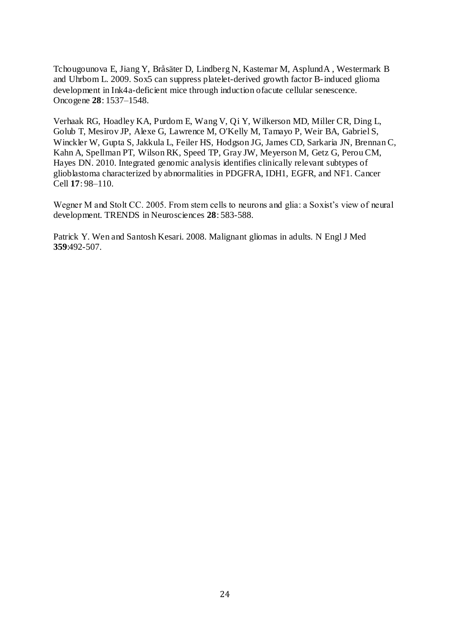Tchougounova E, Jiang Y, Bråsäter D, Lindberg N, Kastemar M, AsplundA , Westermark B and Uhrbom L. 2009. Sox5 can suppress platelet-derived growth factor B-induced glioma development in Ink4a-deficient mice through induction ofacute cellular senescence. Oncogene **28**: 1537–1548.

Verhaak RG, Hoadley KA, Purdom E, Wang V, Qi Y, Wilkerson MD, Miller CR, Ding L, Golub T, Mesirov JP, Alexe G, Lawrence M, O'Kelly M, Tamayo P, Weir BA, Gabriel S, Winckler W, Gupta S, Jakkula L, Feiler HS, Hodgson JG, James CD, Sarkaria JN, Brennan C, Kahn A, Spellman PT, Wilson RK, Speed TP, Gray JW, Meyerson M, Getz G, Perou CM, Hayes DN. 2010. Integrated genomic analysis identifies clinically relevant subtypes of glioblastoma characterized by abnormalities in PDGFRA, IDH1, EGFR, and NF1. Cancer Cell **17**: 98–110.

Wegner M and Stolt CC. 2005. From stem cells to neurons and glia: a Soxist's view of neural development. TRENDS in Neurosciences **28**: 583-588.

Patrick Y. Wen and Santosh Kesari. 2008. Malignant gliomas in adults. N Engl J Med **359**:492-507.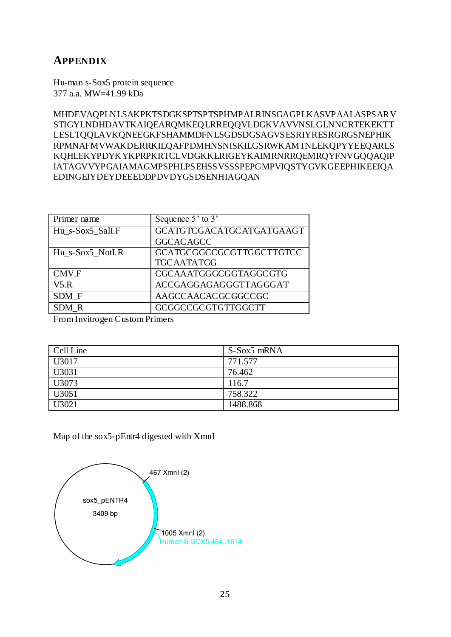## **APPENDIX**

Hu-man s-Sox5 protein sequence 377 a.a. MW=41.99 kDa

MHDEVAQPLNLSAKPKTSDGKSPTSPTSPHMPALRINSGAGPLKASVPAALASPSARV STIGYLNDHDAVTKAIQEARQMKEQLRREQQVLDGKVAVVNSLGLNNCRTEKEKTT LESLTQQLAVKQNEEGKFSHAMMDFNLSGDSDGSAGVSESRIYRESRGRGSNEPHIK RPMNAFMVWAKDERRKILQAFPDMHNSNISKILGSRWKAMTNLEKQPYYEEQARLS KQHLEKYPDYKYKPRPKRTCLVDGKKLRIGEYKAIMRNRRQEMRQYFNVGQQAQIP IATAGVVYPGAIAMAGMPSPHLPSEHSSVSSSPEPGMPVIQSTYGVKGEEPHIKEEIQA EDINGEIYDEYDEEEDDPDVDYGSDSENHIAGQAN

| Primer name      | Sequence 5' to 3'               |
|------------------|---------------------------------|
| Hu s-Sox5 Sall.F | <b>GCATGTCGACATGCATGATGAAGT</b> |
|                  | <b>GGCACAGCC</b>                |
| Hu s-Sox5 Notl.R | GCATGCGGCCGCGTTGGCTTGTCC        |
|                  | <b>TGCAATATGG</b>               |
| CMV.F            | CGCAAATGGGCGGTAGGCGTG           |
| V5.R             | ACCGAGGAGAGGGTTAGGGAT           |
| SDM F            | AAGCCAACACGCGGCCGC              |
| SDM R            | <b>GCGGCCGCGTGTTGGCTT</b>       |

From Invitrogen Custom Primers

| Cell Line | S-Sox5 mRNA |
|-----------|-------------|
| U3017     | 771.577     |
| U3031     | 76.462      |
| U3073     | 116.7       |
| U3051     | 758.322     |
| U3021     | 1488.868    |

Map of the sox5-pEntr4 digested with XmnI